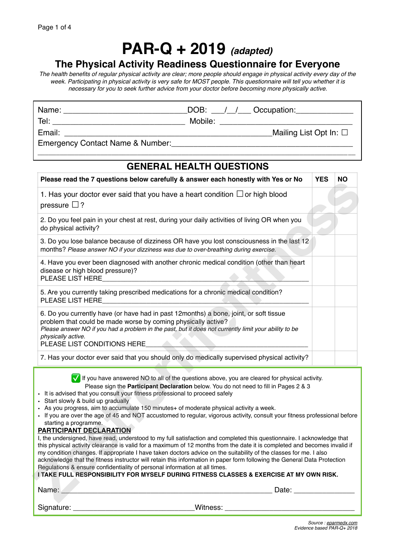## **PAR-Q + 2019** *(adapted)*

## **The Physical Activity Readiness Questionnaire for Everyone**

*The health benefits of regular physical activity are clear; more people should engage in physical activity every day of the week. Participating in physical activity is very safe for MOST people. This questionnaire will tell you whether it is necessary for you to seek further advice from your doctor before becoming more physically active.*

| Name:  | DOB:<br>Occupation:            |
|--------|--------------------------------|
| Tel:   | Mobile:                        |
| Email: | Mailing List Opt In: $\square$ |

Emergency Contact Name & Number:

## **GENERAL HEALTH QUESTIONS**

*\_\_\_\_\_\_\_\_\_\_\_\_\_\_\_\_\_\_\_\_\_\_\_\_\_\_\_\_\_\_\_\_\_\_\_\_\_\_\_\_\_\_\_\_\_\_\_\_\_\_\_\_\_\_\_\_\_\_\_\_\_\_\_\_\_\_\_\_\_\_\_\_\_\_\_\_\_\_\_\_\_\_\_\_\_\_*

| Please read the 7 questions below carefully & answer each honestly with Yes or No                                                                                                                                                                                                                                                                                                                                                                                                                                                                                                                                                                                                                                                                                                                                                                                                                                                                                                                                                                                                                                                                                                                                                                                         | <b>YES</b> | <b>NO</b> |  |
|---------------------------------------------------------------------------------------------------------------------------------------------------------------------------------------------------------------------------------------------------------------------------------------------------------------------------------------------------------------------------------------------------------------------------------------------------------------------------------------------------------------------------------------------------------------------------------------------------------------------------------------------------------------------------------------------------------------------------------------------------------------------------------------------------------------------------------------------------------------------------------------------------------------------------------------------------------------------------------------------------------------------------------------------------------------------------------------------------------------------------------------------------------------------------------------------------------------------------------------------------------------------------|------------|-----------|--|
| 1. Has your doctor ever said that you have a heart condition $\Box$ or high blood<br>pressure $\Box$ ?                                                                                                                                                                                                                                                                                                                                                                                                                                                                                                                                                                                                                                                                                                                                                                                                                                                                                                                                                                                                                                                                                                                                                                    |            |           |  |
| 2. Do you feel pain in your chest at rest, during your daily activities of living OR when you<br>do physical activity?                                                                                                                                                                                                                                                                                                                                                                                                                                                                                                                                                                                                                                                                                                                                                                                                                                                                                                                                                                                                                                                                                                                                                    |            |           |  |
| 3. Do you lose balance because of dizziness OR have you lost consciousness in the last 12<br>months? Please answer NO if your dizziness was due to over-breathing during exercise.                                                                                                                                                                                                                                                                                                                                                                                                                                                                                                                                                                                                                                                                                                                                                                                                                                                                                                                                                                                                                                                                                        |            |           |  |
| 4. Have you ever been diagnosed with another chronic medical condition (other than heart<br>disease or high blood pressure)?<br>PLEASE LIST HERE                                                                                                                                                                                                                                                                                                                                                                                                                                                                                                                                                                                                                                                                                                                                                                                                                                                                                                                                                                                                                                                                                                                          |            |           |  |
| 5. Are you currently taking prescribed medications for a chronic medical condition?<br>PLEASE LIST HERE                                                                                                                                                                                                                                                                                                                                                                                                                                                                                                                                                                                                                                                                                                                                                                                                                                                                                                                                                                                                                                                                                                                                                                   |            |           |  |
| 6. Do you currently have (or have had in past 12months) a bone, joint, or soft tissue<br>problem that could be made worse by coming physically active?<br>Please answer NO if you had a problem in the past, but it does not currently limit your ability to be<br>physically active.<br>PLEASE LIST CONDITIONS HERE                                                                                                                                                                                                                                                                                                                                                                                                                                                                                                                                                                                                                                                                                                                                                                                                                                                                                                                                                      |            |           |  |
| 7. Has your doctor ever said that you should only do medically supervised physical activity?                                                                                                                                                                                                                                                                                                                                                                                                                                                                                                                                                                                                                                                                                                                                                                                                                                                                                                                                                                                                                                                                                                                                                                              |            |           |  |
| If you have answered NO to all of the questions above, you are cleared for physical activity.<br>Please sign the Participant Declaration below. You do not need to fill in Pages 2 & 3<br>• It is advised that you consult your fitness professional to proceed safely<br>Start slowly & build up gradually<br>• As you progress, aim to accumulate 150 minutes+ of moderate physical activity a week.<br>• If you are over the age of 45 and NOT accustomed to regular, vigorous activity, consult your fitness professional before<br>starting a programme.<br>PARTICIPANT DECLARATION<br>I, the undersigned, have read, understood to my full satisfaction and completed this questionnaire. I acknowledge that<br>this physical activity clearance is valid for a maximum of 12 months from the date it is completed and becomes invalid if<br>my condition changes. If appropriate I have taken doctors advice on the suitability of the classes for me. I also<br>acknowledge that the fitness instructor will retain this information in paper form following the General Data Protection<br>Regulations & ensure confidentiality of personal information at all times.<br>I TAKE FULL RESPONSIBILITY FOR MYSELF DURING FITNESS CLASSES & EXERCISE AT MY OWN RISK. |            |           |  |
| Name:<br>Date:                                                                                                                                                                                                                                                                                                                                                                                                                                                                                                                                                                                                                                                                                                                                                                                                                                                                                                                                                                                                                                                                                                                                                                                                                                                            |            |           |  |
|                                                                                                                                                                                                                                                                                                                                                                                                                                                                                                                                                                                                                                                                                                                                                                                                                                                                                                                                                                                                                                                                                                                                                                                                                                                                           |            |           |  |

- It is advised that you consult your fitness professional to proceed safely
- Start slowly & build up gradually
- As you progress, aim to accumulate 150 minutes+ of moderate physical activity a week.
- If you are over the age of 45 and NOT accustomed to regular, vigorous activity, consult your fitness professional before starting a programme.

#### **PARTICIPANT DECLARATION**

Signature: etc. and the set of the set of the set of the set of the set of the set of the set of the set of the set of the set of the set of the set of the set of the set of the set of the set of the set of the set of the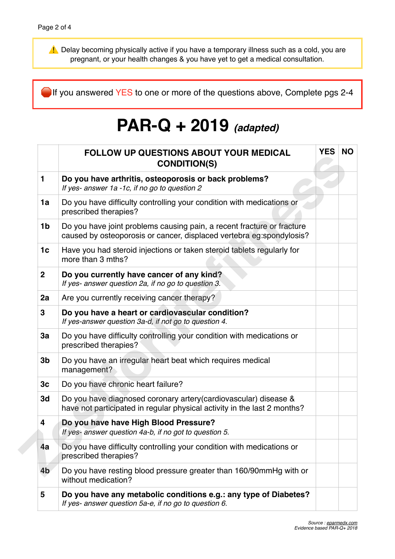⚠ Delay becoming physically active if you have a temporary illness such as a cold, you are pregnant, or your health changes & you have yet to get a medical consultation.

If you answered YES to one or more of the questions above, Complete pgs 2-4

# **PAR-Q + 2019** *(adapted)*

|                         | <b>FOLLOW UP QUESTIONS ABOUT YOUR MEDICAL</b><br><b>CONDITION(S)</b>                                                                           | <b>YES</b> | <b>NO</b> |
|-------------------------|------------------------------------------------------------------------------------------------------------------------------------------------|------------|-----------|
| 1                       | Do you have arthritis, osteoporosis or back problems?<br>If yes- answer 1a -1c, if no go to question 2                                         |            |           |
| 1a                      | Do you have difficulty controlling your condition with medications or<br>prescribed therapies?                                                 |            |           |
| 1 <sub>b</sub>          | Do you have joint problems causing pain, a recent fracture or fracture<br>caused by osteoporosis or cancer, displaced vertebra eg:spondylosis? |            |           |
| 1 <sub>c</sub>          | Have you had steroid injections or taken steroid tablets regularly for<br>more than 3 mths?                                                    |            |           |
| $\mathbf{2}$            | Do you currently have cancer of any kind?<br>If yes- answer question 2a, if no go to question 3.                                               |            |           |
| 2a                      | Are you currently receiving cancer therapy?                                                                                                    |            |           |
| 3                       | Do you have a heart or cardiovascular condition?<br>If yes-answer question 3a-d, if not go to question 4.                                      |            |           |
| 3a                      | Do you have difficulty controlling your condition with medications or<br>prescribed therapies?                                                 |            |           |
| 3 <sub>b</sub>          | Do you have an irregular heart beat which requires medical<br>management?                                                                      |            |           |
| 3c                      | Do you have chronic heart failure?                                                                                                             |            |           |
| 3d                      | Do you have diagnosed coronary artery (cardiovascular) disease &<br>have not participated in regular physical activity in the last 2 months?   |            |           |
| $\overline{\mathbf{4}}$ | Do you have have High Blood Pressure?<br>If yes- answer question 4a-b, if no got to question 5.                                                |            |           |
| 4а                      | Do you have difficulty controlling your condition with medications or<br>prescribed therapies?                                                 |            |           |
| 4 <sub>b</sub>          | Do you have resting blood pressure greater than 160/90mmHg with or<br>without medication?                                                      |            |           |
| 5                       | Do you have any metabolic conditions e.g.: any type of Diabetes?<br>If yes- answer question 5a-e, if no go to question 6.                      |            |           |
|                         |                                                                                                                                                |            |           |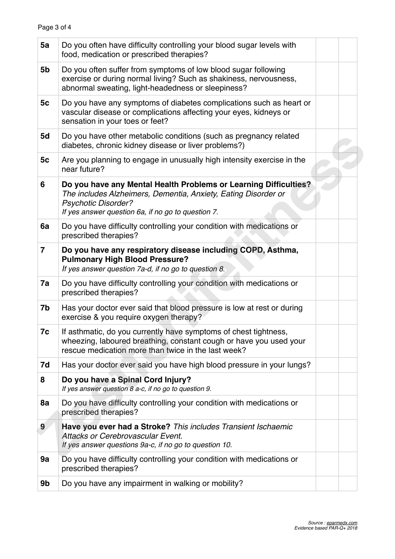| 5a                      | Do you often have difficulty controlling your blood sugar levels with<br>food, medication or prescribed therapies?                                                                                                     |  |
|-------------------------|------------------------------------------------------------------------------------------------------------------------------------------------------------------------------------------------------------------------|--|
| 5b                      | Do you often suffer from symptoms of low blood sugar following<br>exercise or during normal living? Such as shakiness, nervousness,<br>abnormal sweating, light-headedness or sleepiness?                              |  |
| 5c                      | Do you have any symptoms of diabetes complications such as heart or<br>vascular disease or complications affecting your eyes, kidneys or<br>sensation in your toes or feet?                                            |  |
| 5d                      | Do you have other metabolic conditions (such as pregnancy related<br>diabetes, chronic kidney disease or liver problems?)                                                                                              |  |
| 5 <sub>c</sub>          | Are you planning to engage in unusually high intensity exercise in the<br>near future?                                                                                                                                 |  |
| 6                       | Do you have any Mental Health Problems or Learning Difficulties?<br>The includes Alzheimers, Dementia, Anxiety, Eating Disorder or<br><b>Psychotic Disorder?</b><br>If yes answer question 6a, if no go to question 7. |  |
| 6a                      | Do you have difficulty controlling your condition with medications or<br>prescribed therapies?                                                                                                                         |  |
| $\overline{\mathbf{7}}$ | Do you have any respiratory disease including COPD, Asthma,<br><b>Pulmonary High Blood Pressure?</b><br>If yes answer question 7a-d, if no go to question 8.                                                           |  |
| 7a                      | Do you have difficulty controlling your condition with medications or<br>prescribed therapies?                                                                                                                         |  |
| 7b                      | Has your doctor ever said that blood pressure is low at rest or during<br>exercise & you require oxygen therapy?                                                                                                       |  |
| 7c                      | If asthmatic, do you currently have symptoms of chest tightness,<br>wheezing, laboured breathing, constant cough or have you used your<br>rescue medication more than twice in the last week?                          |  |
| 7d                      | Has your doctor ever said you have high blood pressure in your lungs?                                                                                                                                                  |  |
| 8                       | Do you have a Spinal Cord Injury?<br>If yes answer question 8 a-c, if no go to question 9.                                                                                                                             |  |
| 8a                      | Do you have difficulty controlling your condition with medications or<br>prescribed therapies?                                                                                                                         |  |
| 9                       | Have you ever had a Stroke? This includes Transient Ischaemic<br>Attacks or Cerebrovascular Event.<br>If yes answer questions 9a-c, if no go to question 10.                                                           |  |
| 9a                      | Do you have difficulty controlling your condition with medications or<br>prescribed therapies?                                                                                                                         |  |
| 9b                      | Do you have any impairment in walking or mobility?                                                                                                                                                                     |  |